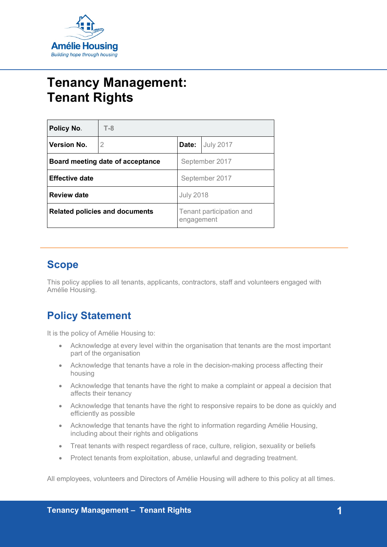

# **Tenancy Management: Tenant Rights**

| <b>Policy No.</b>                     | $T-8$ |                                        |                  |
|---------------------------------------|-------|----------------------------------------|------------------|
| <b>Version No.</b>                    | 2     | Date:                                  | <b>July 2017</b> |
| Board meeting date of acceptance      |       | September 2017                         |                  |
| <b>Effective date</b>                 |       | September 2017                         |                  |
| <b>Review date</b>                    |       | <b>July 2018</b>                       |                  |
| <b>Related policies and documents</b> |       | Tenant participation and<br>engagement |                  |

## **Scope**

This policy applies to all tenants, applicants, contractors, staff and volunteers engaged with Amélie Housing.

# **Policy Statement**

It is the policy of Amélie Housing to:

- Acknowledge at every level within the organisation that tenants are the most important part of the organisation
- Acknowledge that tenants have a role in the decision-making process affecting their housing
- Acknowledge that tenants have the right to make a complaint or appeal a decision that affects their tenancy
- Acknowledge that tenants have the right to responsive repairs to be done as quickly and efficiently as possible
- Acknowledge that tenants have the right to information regarding Amélie Housing, including about their rights and obligations
- Treat tenants with respect regardless of race, culture, religion, sexuality or beliefs
- Protect tenants from exploitation, abuse, unlawful and degrading treatment.

All employees, volunteers and Directors of Amélie Housing will adhere to this policy at all times.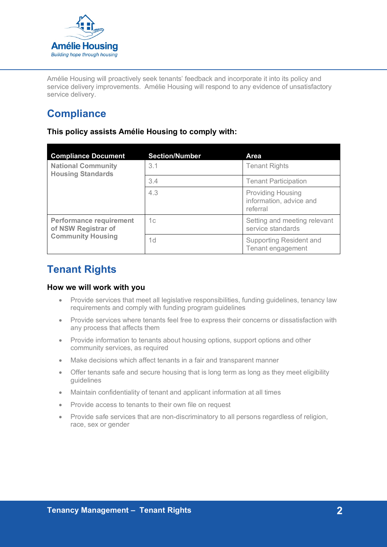

Amélie Housing will proactively seek tenants' feedback and incorporate it into its policy and service delivery improvements. Amélie Housing will respond to any evidence of unsatisfactory service delivery.

# **Compliance**

**This policy assists Amélie Housing to comply with:**

| <b>Compliance Document</b>                            | <b>Section/Number</b> | Area                                                            |
|-------------------------------------------------------|-----------------------|-----------------------------------------------------------------|
| <b>National Community</b><br><b>Housing Standards</b> | 3.1                   | <b>Tenant Rights</b>                                            |
|                                                       | 3.4                   | <b>Tenant Participation</b>                                     |
|                                                       | 4.3                   | <b>Providing Housing</b><br>information, advice and<br>referral |
| <b>Performance requirement</b><br>of NSW Registrar of | 1c                    | Setting and meeting relevant<br>service standards               |
| <b>Community Housing</b>                              | 1 <sub>d</sub>        | <b>Supporting Resident and</b><br>Tenant engagement             |

### **Tenant Rights**

#### **How we will work with you**

- Provide services that meet all legislative responsibilities, funding guidelines, tenancy law requirements and comply with funding program guidelines
- Provide services where tenants feel free to express their concerns or dissatisfaction with any process that affects them
- Provide information to tenants about housing options, support options and other community services, as required
- Make decisions which affect tenants in a fair and transparent manner
- Offer tenants safe and secure housing that is long term as long as they meet eligibility guidelines
- Maintain confidentiality of tenant and applicant information at all times
- Provide access to tenants to their own file on request
- Provide safe services that are non-discriminatory to all persons regardless of religion, race, sex or gender